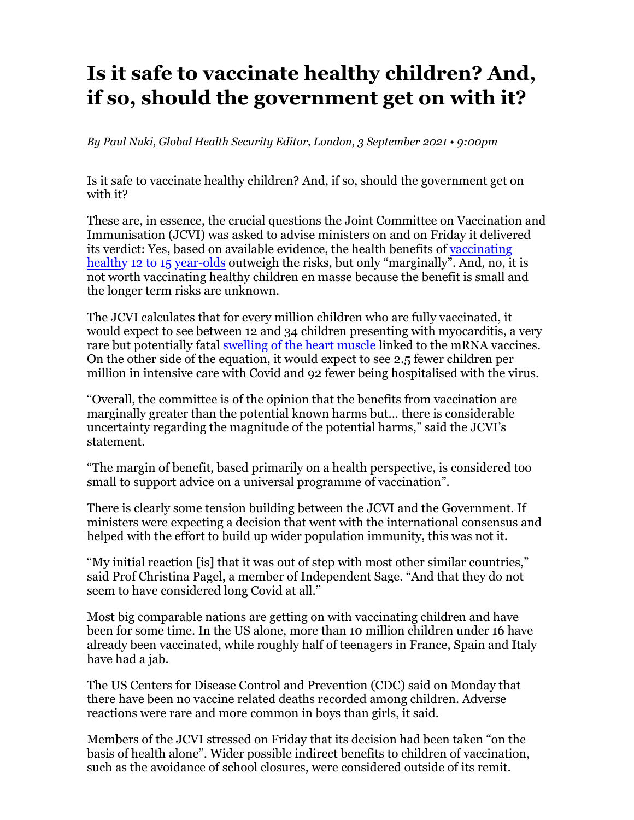## **Is it safe to vaccinate healthy children? And, if so, should the government get on with it?**

*By Paul Nuki, Global Health Security Editor, London, 3 September 2021 • 9:00pm* 

Is it safe to vaccinate healthy children? And, if so, should the government get on with it?

These are, in essence, the crucial questions the Joint Committee on Vaccination and Immunisation (JCVI) was asked to advise ministers on and on Friday it delivered its verdict: Yes, based on available evidence, the health benefits of vaccinating healthy 12 to 15 year-olds outweigh the risks, but only "marginally". And, no, it is not worth vaccinating healthy children en masse because the benefit is small and the longer term risks are unknown.

The JCVI calculates that for every million children who are fully vaccinated, it would expect to see between 12 and 34 children presenting with myocarditis, a very rare but potentially fatal swelling of the heart muscle linked to the mRNA vaccines. On the other side of the equation, it would expect to see 2.5 fewer children per million in intensive care with Covid and 92 fewer being hospitalised with the virus.

"Overall, the committee is of the opinion that the benefits from vaccination are marginally greater than the potential known harms but... there is considerable uncertainty regarding the magnitude of the potential harms," said the JCVI's statement.

"The margin of benefit, based primarily on a health perspective, is considered too small to support advice on a universal programme of vaccination".

There is clearly some tension building between the JCVI and the Government. If ministers were expecting a decision that went with the international consensus and helped with the effort to build up wider population immunity, this was not it.

"My initial reaction [is] that it was out of step with most other similar countries," said Prof Christina Pagel, a member of Independent Sage. "And that they do not seem to have considered long Covid at all."

Most big comparable nations are getting on with vaccinating children and have been for some time. In the US alone, more than 10 million children under 16 have already been vaccinated, while roughly half of teenagers in France, Spain and Italy have had a jab.

The US Centers for Disease Control and Prevention (CDC) said on Monday that there have been no vaccine related deaths recorded among children. Adverse reactions were rare and more common in boys than girls, it said.

Members of the JCVI stressed on Friday that its decision had been taken "on the basis of health alone". Wider possible indirect benefits to children of vaccination, such as the avoidance of school closures, were considered outside of its remit.